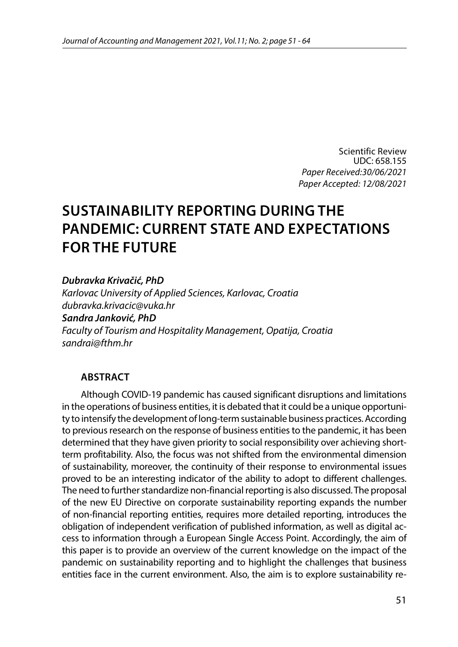Scientific Review UDC: 658.155 *Paper Received:30/06/2021 Paper Accepted: 12/08/2021*

# **SUSTAINABILITY REPORTING DURING THE PANDEMIC: CURRENT STATE AND EXPECTATIONS FOR THE FUTURE**

*Dubravka Krivačić, PhD*

*Karlovac University of Applied Sciences, Karlovac, Croatia [dubravka.krivacic@vuka.hr](mailto:dubravka.krivacic@vuka.hr) Sandra Janković, PhD Faculty of Tourism and Hospitality Management, Opatija, Croatia sandrai@fthm.hr*

#### **ABSTRACT**

Although COVID-19 pandemic has caused significant disruptions and limitations in the operations of business entities, it is debated that it could be a unique opportunity to intensify the development of long-term sustainable business practices. According to previous research on the response of business entities to the pandemic, it has been determined that they have given priority to social responsibility over achieving shortterm profitability. Also, the focus was not shifted from the environmental dimension of sustainability, moreover, the continuity of their response to environmental issues proved to be an interesting indicator of the ability to adopt to different challenges. The need to further standardize non-financial reporting is also discussed. The proposal of the new EU Directive on corporate sustainability reporting expands the number of non-financial reporting entities, requires more detailed reporting, introduces the obligation of independent verification of published information, as well as digital access to information through a European Single Access Point. Accordingly, the aim of this paper is to provide an overview of the current knowledge on the impact of the pandemic on sustainability reporting and to highlight the challenges that business entities face in the current environment. Also, the aim is to explore sustainability re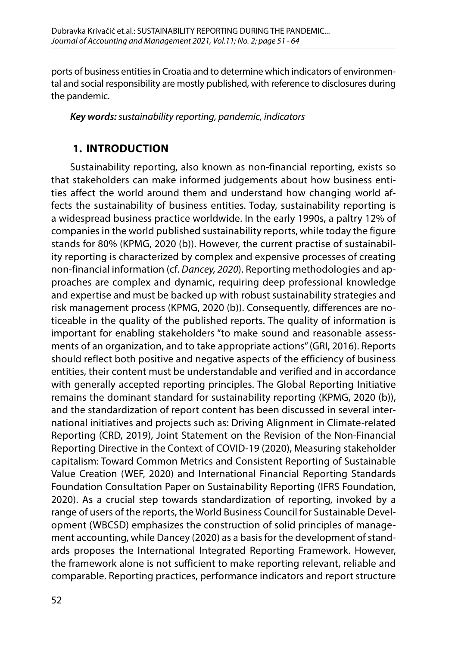ports of business entities in Croatia and to determine which indicators of environmental and social responsibility are mostly published, with reference to disclosures during the pandemic.

*Key words: sustainability reporting, pandemic, indicators*

### **1. INTRODUCTION**

Sustainability reporting, also known as non-financial reporting, exists so that stakeholders can make informed judgements about how business entities affect the world around them and understand how changing world affects the sustainability of business entities. Today, sustainability reporting is a widespread business practice worldwide. In the early 1990s, a paltry 12% of companies in the world published sustainability reports, while today the figure stands for 80% (KPMG, 2020 (b)). However, the current practise of sustainability reporting is characterized by complex and expensive processes of creating non-financial information (cf. *Dancey, 2020*). Reporting methodologies and approaches are complex and dynamic, requiring deep professional knowledge and expertise and must be backed up with robust sustainability strategies and risk management process (KPMG, 2020 (b)). Consequently, differences are noticeable in the quality of the published reports. The quality of information is important for enabling stakeholders "to make sound and reasonable assessments of an organization, and to take appropriate actions" (GRI, 2016). Reports should reflect both positive and negative aspects of the efficiency of business entities, their content must be understandable and verified and in accordance with generally accepted reporting principles. The Global Reporting Initiative remains the dominant standard for sustainability reporting (KPMG, 2020 (b)), and the standardization of report content has been discussed in several international initiatives and projects such as: Driving Alignment in Climate-related Reporting (CRD, 2019), Joint Statement on the Revision of the Non-Financial Reporting Directive in the Context of COVID-19 (2020), Measuring stakeholder capitalism: Toward Common Metrics and Consistent Reporting of Sustainable Value Creation (WEF, 2020) and International Financial Reporting Standards Foundation Consultation Paper on Sustainability Reporting (IFRS Foundation, 2020). As a crucial step towards standardization of reporting, invoked by a range of users of the reports, the World Business Council for Sustainable Development (WBCSD) emphasizes the construction of solid principles of management accounting, while Dancey (2020) as a basis for the development of standards proposes the International Integrated Reporting Framework. However, the framework alone is not sufficient to make reporting relevant, reliable and comparable. Reporting practices, performance indicators and report structure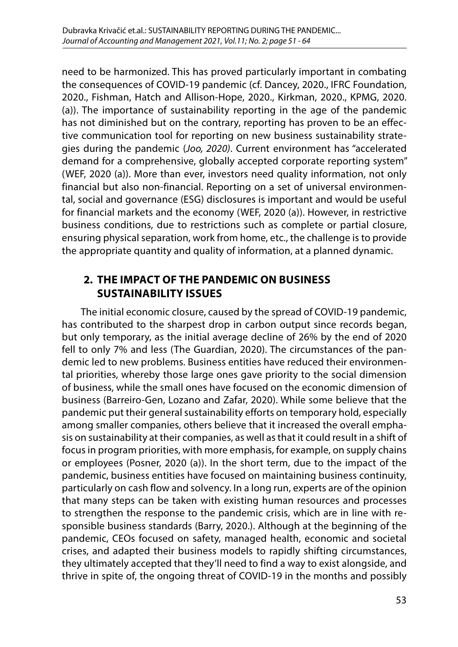need to be harmonized. This has proved particularly important in combating the consequences of COVID-19 pandemic (cf. Dancey, 2020., IFRC Foundation, 2020., Fishman, Hatch and Allison-Hope, 2020., Kirkman, 2020., KPMG, 2020. (a)). The importance of sustainability reporting in the age of the pandemic has not diminished but on the contrary, reporting has proven to be an effective communication tool for reporting on new business sustainability strategies during the pandemic (*Joo, 2020)*. Current environment has "accelerated demand for a comprehensive, globally accepted corporate reporting system" (WEF, 2020 (a)). More than ever, investors need quality information, not only financial but also non-financial. Reporting on a set of universal environmental, social and governance (ESG) disclosures is important and would be useful for financial markets and the economy (WEF, 2020 (a)). However, in restrictive business conditions, due to restrictions such as complete or partial closure, ensuring physical separation, work from home, etc., the challenge is to provide the appropriate quantity and quality of information, at a planned dynamic.

## **2. THE IMPACT OF THE PANDEMIC ON BUSINESS SUSTAINABILITY ISSUES**

The initial economic closure, caused by the spread of COVID-19 pandemic, has contributed to the sharpest drop in carbon output since records began, but only temporary, as the initial average decline of 26% by the end of 2020 fell to only 7% and less (The Guardian, 2020). The circumstances of the pandemic led to new problems. Business entities have reduced their environmental priorities, whereby those large ones gave priority to the social dimension of business, while the small ones have focused on the economic dimension of business (Barreiro-Gen, Lozano and Zafar, 2020). While some believe that the pandemic put their general sustainability efforts on temporary hold, especially among smaller companies, others believe that it increased the overall emphasis on sustainability at their companies, as well as that it could result in a shift of focus in program priorities, with more emphasis, for example, on supply chains or employees (Posner, 2020 (a)). In the short term, due to the impact of the pandemic, business entities have focused on maintaining business continuity, particularly on cash flow and solvency. In a long run, experts are of the opinion that many steps can be taken with existing human resources and processes to strengthen the response to the pandemic crisis, which are in line with responsible business standards (Barry, 2020.). Although at the beginning of the pandemic, CEOs focused on safety, managed health, economic and societal crises, and adapted their business models to rapidly shifting circumstances, they ultimately accepted that they'll need to find a way to exist alongside, and thrive in spite of, the ongoing threat of COVID-19 in the months and possibly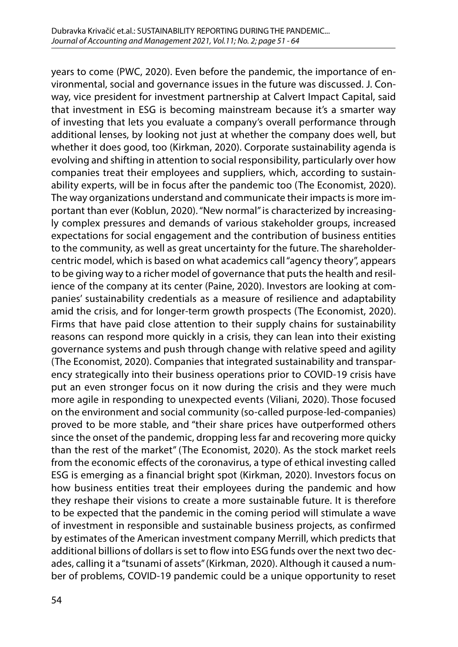years to come (PWC, 2020). Even before the pandemic, the importance of environmental, social and governance issues in the future was discussed. J. Conway, vice president for investment partnership at Calvert Impact Capital, said that investment in ESG is becoming mainstream because it's a smarter way of investing that lets you evaluate a company's overall performance through additional lenses, by looking not just at whether the company does well, but whether it does good, too (Kirkman, 2020). Corporate sustainability agenda is evolving and shifting in attention to social responsibility, particularly over how companies treat their employees and suppliers, which, according to sustainability experts, will be in focus after the pandemic too (The Economist, 2020). The way organizations understand and communicate their impacts is more important than ever (Koblun, 2020). "New normal" is characterized by increasingly complex pressures and demands of various stakeholder groups, increased expectations for social engagement and the contribution of business entities to the community, as well as great uncertainty for the future. The shareholdercentric model, which is based on what academics call "agency theory", appears to be giving way to a richer model of governance that puts the health and resilience of the company at its center (Paine, 2020). Investors are looking at companies' sustainability credentials as a measure of resilience and adaptability amid the crisis, and for longer-term growth prospects (The Economist, 2020). Firms that have paid close attention to their supply chains for sustainability reasons can respond more quickly in a crisis, they can lean into their existing governance systems and push through change with relative speed and agility (The Economist, 2020). Companies that integrated sustainability and transparency strategically into their business operations prior to COVID-19 crisis have put an even stronger focus on it now during the crisis and they were much more agile in responding to unexpected events (Viliani, 2020). Those focused on the environment and social community (so-called purpose-led-companies) proved to be more stable, and "their share prices have outperformed others since the onset of the pandemic, dropping less far and recovering more quicky than the rest of the market" (The Economist, 2020). As the stock market reels from the economic effects of the coronavirus, a type of ethical investing called ESG is emerging as a financial bright spot (Kirkman, 2020). Investors focus on how business entities treat their employees during the pandemic and how they reshape their visions to create a more sustainable future. It is therefore to be expected that the pandemic in the coming period will stimulate a wave of investment in responsible and sustainable business projects, as confirmed by estimates of the American investment company Merrill, which predicts that additional billions of dollars is set to flow into ESG funds over the next two decades, calling it a "tsunami of assets" (Kirkman, 2020). Although it caused a number of problems, COVID-19 pandemic could be a unique opportunity to reset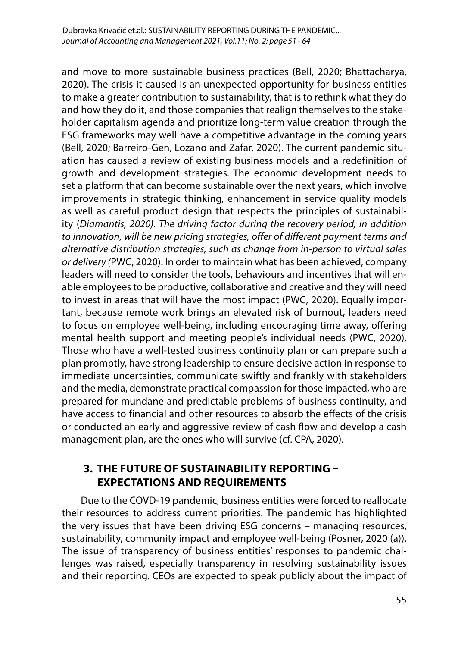and move to more sustainable business practices (Bell, 2020; Bhattacharya, 2020). The crisis it caused is an unexpected opportunity for business entities to make a greater contribution to sustainability, that is to rethink what they do and how they do it, and those companies that realign themselves to the stakeholder capitalism agenda and prioritize long-term value creation through the ESG frameworks may well have a competitive advantage in the coming years (Bell, 2020; Barreiro-Gen, Lozano and Zafar, 2020). The current pandemic situation has caused a review of existing business models and a redefinition of growth and development strategies. The economic development needs to set a platform that can become sustainable over the next years, which involve improvements in strategic thinking, enhancement in service quality models as well as careful product design that respects the principles of sustainability (*Diamantis, 2020). The driving factor during the recovery period, in addition to innovation, will be new pricing strategies, offer of different payment terms and alternative distribution strategies, such as change from in-person to virtual sales or delivery (*PWC, 2020). In order to maintain what has been achieved, company leaders will need to consider the tools, behaviours and incentives that will enable employees to be productive, collaborative and creative and they will need to invest in areas that will have the most impact (PWC, 2020). Equally important, because remote work brings an elevated risk of burnout, leaders need to focus on employee well-being, including encouraging time away, offering mental health support and meeting people's individual needs (PWC, 2020). Those who have a well-tested business continuity plan or can prepare such a plan promptly, have strong leadership to ensure decisive action in response to immediate uncertainties, communicate swiftly and frankly with stakeholders and the media, demonstrate practical compassion for those impacted, who are prepared for mundane and predictable problems of business continuity, and have access to financial and other resources to absorb the effects of the crisis or conducted an early and aggressive review of cash flow and develop a cash management plan, are the ones who will survive (cf. CPA, 2020).

#### **3. THE FUTURE OF SUSTAINABILITY REPORTING – EXPECTATIONS AND REQUIREMENTS**

Due to the COVD-19 pandemic, business entities were forced to reallocate their resources to address current priorities. The pandemic has highlighted the very issues that have been driving ESG concerns – managing resources, sustainability, community impact and employee well-being (Posner, 2020 (a)). The issue of transparency of business entities' responses to pandemic challenges was raised, especially transparency in resolving sustainability issues and their reporting. CEOs are expected to speak publicly about the impact of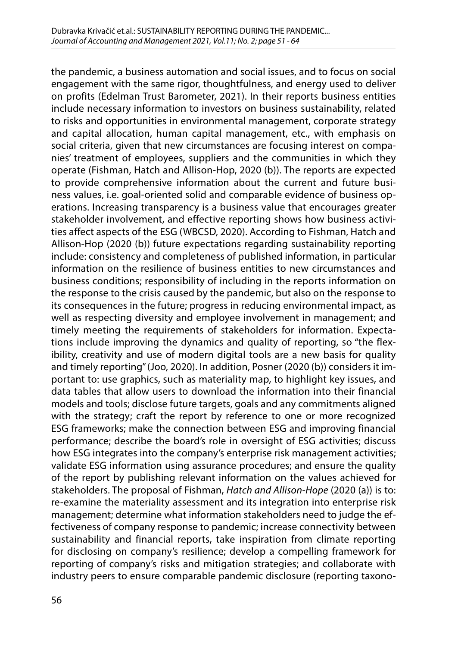the pandemic, a business automation and social issues, and to focus on social engagement with the same rigor, thoughtfulness, and energy used to deliver on profits (Edelman Trust Barometer, 2021). In their reports business entities include necessary information to investors on business sustainability, related to risks and opportunities in environmental management, corporate strategy and capital allocation, human capital management, etc., with emphasis on social criteria, given that new circumstances are focusing interest on companies' treatment of employees, suppliers and the communities in which they operate (Fishman, Hatch and Allison-Hop, 2020 (b)). The reports are expected to provide comprehensive information about the current and future business values, i.e. goal-oriented solid and comparable evidence of business operations. Increasing transparency is a business value that encourages greater stakeholder involvement, and effective reporting shows how business activities affect aspects of the ESG (WBCSD, 2020). According to Fishman, Hatch and Allison-Hop (2020 (b)) future expectations regarding sustainability reporting include: consistency and completeness of published information, in particular information on the resilience of business entities to new circumstances and business conditions; responsibility of including in the reports information on the response to the crisis caused by the pandemic, but also on the response to its consequences in the future; progress in reducing environmental impact, as well as respecting diversity and employee involvement in management; and timely meeting the requirements of stakeholders for information. Expectations include improving the dynamics and quality of reporting, so "the flexibility, creativity and use of modern digital tools are a new basis for quality and timely reporting" (Joo, 2020). In addition, Posner (2020 (b)) considers it important to: use graphics, such as materiality map, to highlight key issues, and data tables that allow users to download the information into their financial models and tools; disclose future targets, goals and any commitments aligned with the strategy; craft the report by reference to one or more recognized ESG frameworks; make the connection between ESG and improving financial performance; describe the board's role in oversight of ESG activities; discuss how ESG integrates into the company's enterprise risk management activities; validate ESG information using assurance procedures; and ensure the quality of the report by publishing relevant information on the values achieved for stakeholders. The proposal of Fishman, *Hatch and Allison-Hope* (2020 (a)) is to: re-examine the materiality assessment and its integration into enterprise risk management; determine what information stakeholders need to judge the effectiveness of company response to pandemic; increase connectivity between sustainability and financial reports, take inspiration from climate reporting for disclosing on company's resilience; develop a compelling framework for reporting of company's risks and mitigation strategies; and collaborate with industry peers to ensure comparable pandemic disclosure (reporting taxono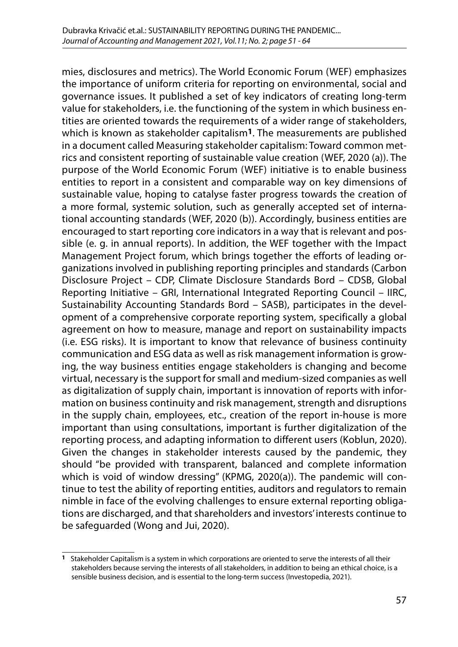mies, disclosures and metrics). The World Economic Forum (WEF) emphasizes the importance of uniform criteria for reporting on environmental, social and governance issues. It published a set of key indicators of creating long-term value for stakeholders, i.e. the functioning of the system in which business entities are oriented towards the requirements of a wider range of stakeholders, which is known as stakeholder capitalism**1**. The measurements are published in a document called Measuring stakeholder capitalism: Toward common metrics and consistent reporting of sustainable value creation (WEF, 2020 (a)). The purpose of the World Economic Forum (WEF) initiative is to enable business entities to report in a consistent and comparable way on key dimensions of sustainable value, hoping to catalyse faster progress towards the creation of a more formal, systemic solution, such as generally accepted set of international accounting standards (WEF, 2020 (b)). Accordingly, business entities are encouraged to start reporting core indicators in a way that is relevant and possible (e. g. in annual reports). In addition, the WEF together with the Impact Management Project forum, which brings together the efforts of leading organizations involved in publishing reporting principles and standards (Carbon Disclosure Project – CDP, Climate Disclosure Standards Bord – CDSB, Global Reporting Initiative – GRI, International Integrated Reporting Council – IIRC, Sustainability Accounting Standards Bord – SASB), participates in the development of a comprehensive corporate reporting system, specifically a global agreement on how to measure, manage and report on sustainability impacts (i.e. ESG risks). It is important to know that relevance of business continuity communication and ESG data as well as risk management information is growing, the way business entities engage stakeholders is changing and become virtual, necessary is the support for small and medium-sized companies as well as digitalization of supply chain, important is innovation of reports with information on business continuity and risk management, strength and disruptions in the supply chain, employees, etc., creation of the report in-house is more important than using consultations, important is further digitalization of the reporting process, and adapting information to different users (Koblun, 2020). Given the changes in stakeholder interests caused by the pandemic, they should "be provided with transparent, balanced and complete information which is void of window dressing" (KPMG, 2020(a)). The pandemic will continue to test the ability of reporting entities, auditors and regulators to remain nimble in face of the evolving challenges to ensure external reporting obligations are discharged, and that shareholders and investors' interests continue to be safeguarded (Wong and Jui, 2020).

**<sup>1</sup>** Stakeholder Capitalism is a system in which corporations are oriented to serve the interests of all their stakeholders because serving the interests of all stakeholders, in addition to being an ethical choice, is a sensible business decision, and is essential to the long-term success (Investopedia, 2021).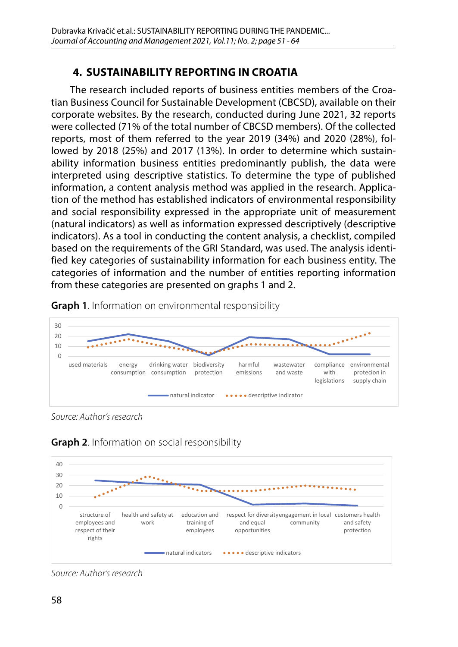# **4. SUSTAINABILITY REPORTING IN CROATIA**

The research included reports of business entities members of the Croatian Business Council for Sustainable Development (CBCSD), available on their corporate websites. By the research, conducted during June 2021, 32 reports were collected (71% of the total number of CBCSD members). Of the collected reports, most of them referred to the year 2019 (34%) and 2020 (28%), followed by 2018 (25%) and 2017 (13%). In order to determine which sustainability information business entities predominantly publish, the data were interpreted using descriptive statistics. To determine the type of published information, a content analysis method was applied in the research. Application of the method has established indicators of environmental responsibility and social responsibility expressed in the appropriate unit of measurement (natural indicators) as well as information expressed descriptively (descriptive indicators). As a tool in conducting the content analysis, a checklist, compiled based on the requirements of the GRI Standard, was used. The analysis identified key categories of sustainability information for each business entity. The categories of information and the number of entities reporting information from these categories are presented on graphs 1 and 2.



**Graph 1**. Information on environmental responsibility Graph 1. Information on environmental responsibility

Source: Author's research *Source: Author's research*





Source: Author's research *Source: Author's research*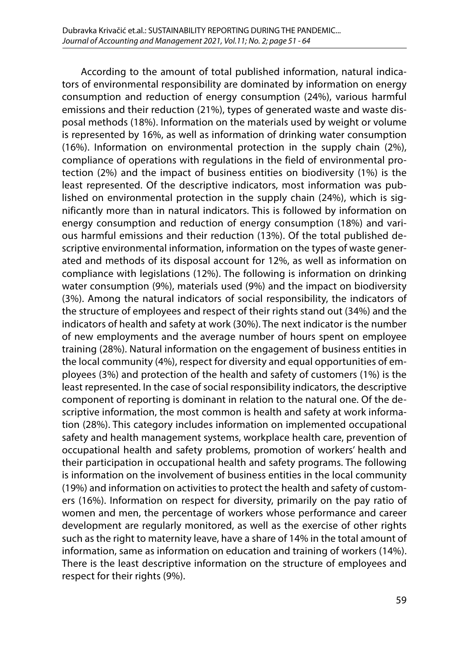According to the amount of total published information, natural indicators of environmental responsibility are dominated by information on energy consumption and reduction of energy consumption (24%), various harmful emissions and their reduction (21%), types of generated waste and waste disposal methods (18%). Information on the materials used by weight or volume is represented by 16%, as well as information of drinking water consumption (16%). Information on environmental protection in the supply chain (2%), compliance of operations with regulations in the field of environmental protection (2%) and the impact of business entities on biodiversity (1%) is the least represented. Of the descriptive indicators, most information was published on environmental protection in the supply chain (24%), which is significantly more than in natural indicators. This is followed by information on energy consumption and reduction of energy consumption (18%) and various harmful emissions and their reduction (13%). Of the total published descriptive environmental information, information on the types of waste generated and methods of its disposal account for 12%, as well as information on compliance with legislations (12%). The following is information on drinking water consumption (9%), materials used (9%) and the impact on biodiversity (3%). Among the natural indicators of social responsibility, the indicators of the structure of employees and respect of their rights stand out (34%) and the indicators of health and safety at work (30%). The next indicator is the number of new employments and the average number of hours spent on employee training (28%). Natural information on the engagement of business entities in the local community (4%), respect for diversity and equal opportunities of employees (3%) and protection of the health and safety of customers (1%) is the least represented. In the case of social responsibility indicators, the descriptive component of reporting is dominant in relation to the natural one. Of the descriptive information, the most common is health and safety at work information (28%). This category includes information on implemented occupational safety and health management systems, workplace health care, prevention of occupational health and safety problems, promotion of workers' health and their participation in occupational health and safety programs. The following is information on the involvement of business entities in the local community (19%) and information on activities to protect the health and safety of customers (16%). Information on respect for diversity, primarily on the pay ratio of women and men, the percentage of workers whose performance and career development are regularly monitored, as well as the exercise of other rights such as the right to maternity leave, have a share of 14% in the total amount of information, same as information on education and training of workers (14%). There is the least descriptive information on the structure of employees and respect for their rights (9%).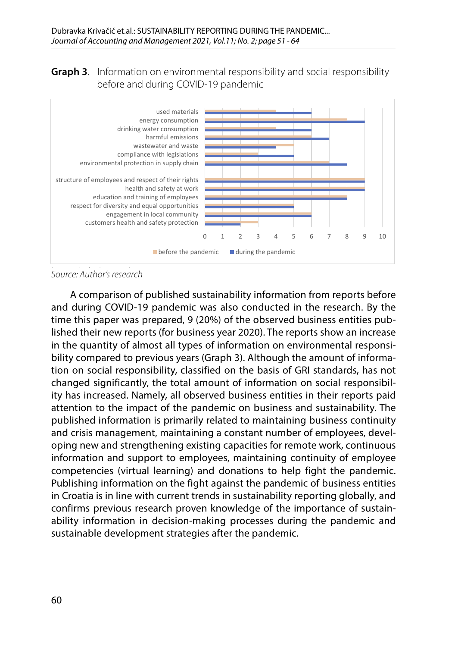**Graph 3**. Information on environmental responsibility and social responsibility before and during COVID-19 pandemic



Source: Author's research *Source: Author's research*

A comparison of published sustainability information from reports before and daring the research. By the research in the research in the research. By the time this paper was prepared, 9 (20%) of the observed business entities published their new reports (for business year 2020). The reports show an increase in the quantity of almost all types of information on environmental responsiresponsibility compared to previous years (Graph 3). Although the amount of information on tion on social responsibility, classified on the basis of GRI standards, has not changed significantly, the total amount of information on social responsibility has increased. Namely, all observed business entities in their reports paid attention to the impact of the pandemic on business and sustainability. The and crisis management, maintaining a constant number of employees, developing new and strengthening existing capacities for remote work, continuous information and support to employees, maintaining continuity of employee employees, maintaining continuity of employee competencies (virtual learning) and donations Publishing information on the fight against the pandemic of business entities and during COVID-19 pandemic was also conducted in the research. By the bility compared to previous years (Graph 3). Although the amount of informapublished information is primarily related to maintaining business continuity competencies (virtual learning) and donations to help fight the pandemic. in Croatia is in line with current trends in sustainability reporting globally, and confirms previous research proven knowledge of the importance of sustainability information in decision-making processes during the pandemic and sustainable development strategies after the pandemic.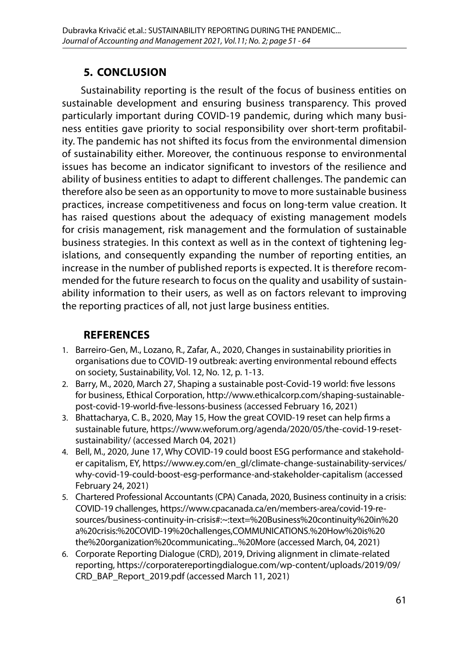# **5. CONCLUSION**

Sustainability reporting is the result of the focus of business entities on sustainable development and ensuring business transparency. This proved particularly important during COVID-19 pandemic, during which many business entities gave priority to social responsibility over short-term profitability. The pandemic has not shifted its focus from the environmental dimension of sustainability either. Moreover, the continuous response to environmental issues has become an indicator significant to investors of the resilience and ability of business entities to adapt to different challenges. The pandemic can therefore also be seen as an opportunity to move to more sustainable business practices, increase competitiveness and focus on long-term value creation. It has raised questions about the adequacy of existing management models for crisis management, risk management and the formulation of sustainable business strategies. In this context as well as in the context of tightening legislations, and consequently expanding the number of reporting entities, an increase in the number of published reports is expected. It is therefore recommended for the future research to focus on the quality and usability of sustainability information to their users, as well as on factors relevant to improving the reporting practices of all, not just large business entities.

## **REFERENCES**

- 1. Barreiro-Gen, M., Lozano, R., Zafar, A., 2020, Changes in sustainability priorities in organisations due to COVID-19 outbreak: averting environmental rebound effects on society, Sustainability, Vol. 12, No. 12, p. 1-13.
- 2. Barry, M., 2020, March 27, Shaping a sustainable post-Covid-19 world: five lessons for business, Ethical Corporation, [http://www.ethicalcorp.com/shaping-sustainable](http://www.ethicalcorp.com/shaping-sustainable-post-covid-19-world-five-lessons-business)[post-covid-19-world-five-lessons-business](http://www.ethicalcorp.com/shaping-sustainable-post-covid-19-world-five-lessons-business) (accessed February 16, 2021)
- 3. Bhattacharya, C. B., 2020, May 15, How the great COVID-19 reset can help firms a sustainable future, [https://www.weforum.org/agenda/2020/05/the-covid-19-reset](https://www.weforum.org/agenda/2020/05/the-covid-19-reset-sustainability/)[sustainability/](https://www.weforum.org/agenda/2020/05/the-covid-19-reset-sustainability/) (accessed March 04, 2021)
- 4. Bell, M., 2020, June 17, Why COVID-19 could boost ESG performance and stakeholder capitalism, EY, [https://www.ey.com/en\\_gl/climate-change-sustainability-services/](https://www.ey.com/en_gl/climate-change-sustainability-services/why-covid-19-could-boost-esg-performance-and-stakeholder-capitalism) [why-covid-19-could-boost-esg-performance-and-stakeholder-capitalism](https://www.ey.com/en_gl/climate-change-sustainability-services/why-covid-19-could-boost-esg-performance-and-stakeholder-capitalism) (accessed February 24, 2021)
- 5. Chartered Professional Accountants (CPA) Canada, 2020, Business continuity in a crisis: COVID-19 challenges, https://www.cpacanada.ca/en/members-area/covid-19-resources/business-continuity-in-crisis#:~:text=%20Business%20continuity%20in%20 a%20crisis:%20COVID-19%20challenges,COMMUNICATIONS.%20How%20is%20 the%20organization%20communicating...%20More (accessed March, 04, 2021)
- 6. Corporate Reporting Dialogue (CRD), 2019, Driving alignment in climate-related reporting, [https://corporatereportingdialogue.com/wp-content/uploads/2019/09/](https://corporatereportingdialogue.com/wp-content/uploads/2019/09/CRD_BAP_Report_2019.pdf) [CRD\\_BAP\\_Report\\_2019.pdf](https://corporatereportingdialogue.com/wp-content/uploads/2019/09/CRD_BAP_Report_2019.pdf) (accessed March 11, 2021)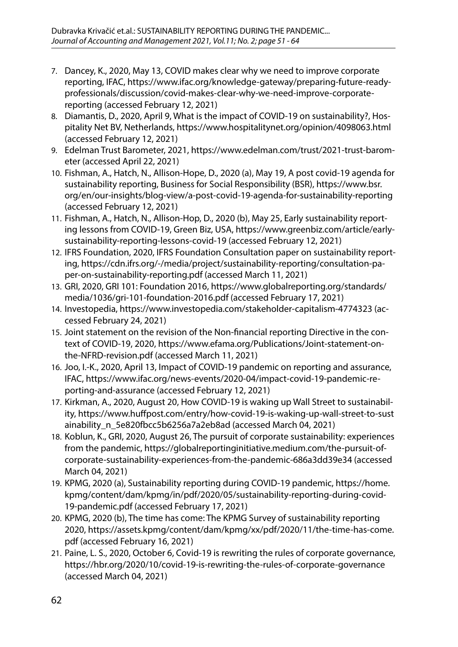- 7. Dancey, K., 2020, May 13, COVID makes clear why we need to improve corporate reporting, IFAC, [https://www.ifac.org/knowledge-gateway/preparing-future-ready](https://www.ifac.org/knowledge-gateway/preparing-future-ready-professionals/discussion/covid-makes-clear-why-we-need-improve-corporate-reporting)[professionals/discussion/covid-makes-clear-why-we-need-improve-corporate](https://www.ifac.org/knowledge-gateway/preparing-future-ready-professionals/discussion/covid-makes-clear-why-we-need-improve-corporate-reporting)[reporting](https://www.ifac.org/knowledge-gateway/preparing-future-ready-professionals/discussion/covid-makes-clear-why-we-need-improve-corporate-reporting) (accessed February 12, 2021)
- 8. Diamantis, D., 2020, April 9, What is the impact of COVID-19 on sustainability?, Hospitality Net BV, Netherlands, <https://www.hospitalitynet.org/opinion/4098063.html> (accessed February 12, 2021)
- 9. Edelman Trust Barometer, 2021, [https://www.edelman.com/trust/2021-trust-barom](https://www.edelman.com/trust/2021-trust-barometer)[eter](https://www.edelman.com/trust/2021-trust-barometer) (accessed April 22, 2021)
- 10. Fishman, A., Hatch, N., Allison-Hope, D., 2020 (a), May 19, A post covid-19 agenda for sustainability reporting, Business for Social Responsibility (BSR), [https://www.bsr.](https://www.bsr.org/en/our-insights/blog-view/a-post-covid-19-agenda-for-sustainability-reporting) [org/en/our-insights/blog-view/a-post-covid-19-agenda-for-sustainability-reporting](https://www.bsr.org/en/our-insights/blog-view/a-post-covid-19-agenda-for-sustainability-reporting) (accessed February 12, 2021)
- 11. Fishman, A., Hatch, N., Allison-Hop, D., 2020 (b), May 25, Early sustainability reporting lessons from COVID-19, Green Biz, USA, [https://www.greenbiz.com/article/early](https://www.greenbiz.com/article/early-sustainability-reporting-lessons-covid-19)[sustainability-reporting-lessons-covid-19](https://www.greenbiz.com/article/early-sustainability-reporting-lessons-covid-19) (accessed February 12, 2021)
- 12. IFRS Foundation, 2020, IFRS Foundation Consultation paper on sustainability reporting, [https://cdn.ifrs.org/-/media/project/sustainability-reporting/consultation-pa](https://cdn.ifrs.org/-/media/project/sustainability-reporting/consultation-paper-on-sustainability-reporting.pdf)[per-on-sustainability-reporting.pdf](https://cdn.ifrs.org/-/media/project/sustainability-reporting/consultation-paper-on-sustainability-reporting.pdf) (accessed March 11, 2021)
- 13. GRI, 2020, GRI 101: Foundation 2016, [https://www.globalreporting.org/standards/](https://www.globalreporting.org/standards/media/1036/gri-101-foundation-2016.pdf) [media/1036/gri-101-foundation-2016.pdf](https://www.globalreporting.org/standards/media/1036/gri-101-foundation-2016.pdf) (accessed February 17, 2021)
- 14. Investopedia,<https://www.investopedia.com/stakeholder-capitalism-4774323>(accessed February 24, 2021)
- 15. Joint statement on the revision of the Non-financial reporting Directive in the context of COVID-19, 2020, [https://www.efama.org/Publications/Joint-statement-on](https://www.efama.org/Publications/Joint-statement-on-the-NFRD-revision.pdf)[the-NFRD-revision.pdf](https://www.efama.org/Publications/Joint-statement-on-the-NFRD-revision.pdf) (accessed March 11, 2021)
- 16. Joo, I.-K., 2020, April 13, Impact of COVID-19 pandemic on reporting and assurance, IFAC, [https://www.ifac.org/news-events/2020-04/impact-covid-19-pandemic-re](https://www.ifac.org/news-events/2020-04/impact-covid-19-pandemic-reporting-and-assurance)[porting-and-assurance](https://www.ifac.org/news-events/2020-04/impact-covid-19-pandemic-reporting-and-assurance) (accessed February 12, 2021)
- 17. Kirkman, A., 2020, August 20, How COVID-19 is waking up Wall Street to sustainability, [https://www.huffpost.com/entry/how-covid-19-is-waking-up-wall-street-to-sust](https://www.huffpost.com/entry/how-covid-19-is-waking-up-wall-street-to-sustainability_n_5e820fbcc5b6256a7a2eb8ad) [ainability\\_n\\_5e820fbcc5b6256a7a2eb8ad](https://www.huffpost.com/entry/how-covid-19-is-waking-up-wall-street-to-sustainability_n_5e820fbcc5b6256a7a2eb8ad) (accessed March 04, 2021)
- 18. Koblun, K., GRI, 2020, August 26, The pursuit of corporate sustainability: experiences from the pandemic, [https://globalreportinginitiative.medium.com/the-pursuit-of](https://globalreportinginitiative.medium.com/the-pursuit-of-corporate-sustainability-experiences-from-the-pandemic-686a3dd39e34)[corporate-sustainability-experiences-from-the-pandemic-686a3dd39e34](https://globalreportinginitiative.medium.com/the-pursuit-of-corporate-sustainability-experiences-from-the-pandemic-686a3dd39e34) (accessed March 04, 2021)
- 19. KPMG, 2020 (a), Sustainability reporting during COVID-19 pandemic, [https://home.](https://home.kpmg/content/dam/kpmg/in/pdf/2020/05/sustainability-reporting-during-covid-19-pandemic.pdf) [kpmg/content/dam/kpmg/in/pdf/2020/05/sustainability-reporting-during-covid-](https://home.kpmg/content/dam/kpmg/in/pdf/2020/05/sustainability-reporting-during-covid-19-pandemic.pdf)[19-pandemic.pdf](https://home.kpmg/content/dam/kpmg/in/pdf/2020/05/sustainability-reporting-during-covid-19-pandemic.pdf) (accessed February 17, 2021)
- 20. KPMG, 2020 (b), The time has come: The KPMG Survey of sustainability reporting 2020, [https://assets.kpmg/content/dam/kpmg/xx/pdf/2020/11/the-time-has-come.](https://assets.kpmg/content/dam/kpmg/xx/pdf/2020/11/the-time-has-come.pdf) [pdf](https://assets.kpmg/content/dam/kpmg/xx/pdf/2020/11/the-time-has-come.pdf) (accessed February 16, 2021)
- 21. Paine, L. S., 2020, October 6, Covid-19 is rewriting the rules of corporate governance, https://hbr.org/2020/10/covid-19-is-rewriting-the-rules-of-corporate-governance (accessed March 04, 2021)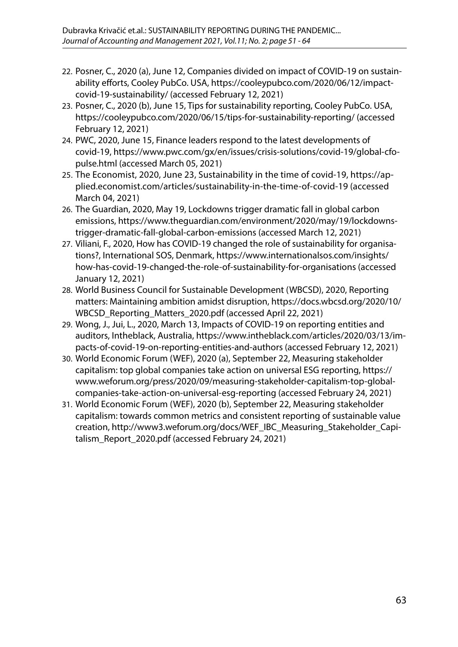- 22. Posner, C., 2020 (a), June 12, Companies divided on impact of COVID-19 on sustainability efforts, Cooley PubCo. USA, [https://cooleypubco.com/2020/06/12/impact](https://cooleypubco.com/2020/06/12/impact-covid-19-sustainability/)[covid-19-sustainability/](https://cooleypubco.com/2020/06/12/impact-covid-19-sustainability/) (accessed February 12, 2021)
- 23. Posner, C., 2020 (b), June 15, Tips for sustainability reporting, Cooley PubCo. USA, <https://cooleypubco.com/2020/06/15/tips-for-sustainability-reporting/> (accessed February 12, 2021)
- 24. PWC, 2020, June 15, Finance leaders respond to the latest developments of covid-19, [https://www.pwc.com/gx/en/issues/crisis-solutions/covid-19/global-cfo](https://www.pwc.com/gx/en/issues/crisis-solutions/covid-19/global-cfo-pulse.html)[pulse.html](https://www.pwc.com/gx/en/issues/crisis-solutions/covid-19/global-cfo-pulse.html) (accessed March 05, 2021)
- 25. The Economist, 2020, June 23, Sustainability in the time of covid-19, [https://ap](https://applied.economist.com/articles/sustainability-in-the-time-of-covid-19)[plied.economist.com/articles/sustainability-in-the-time-of-covid-19](https://applied.economist.com/articles/sustainability-in-the-time-of-covid-19) (accessed March 04, 2021)
- 26. The Guardian, 2020, May 19, Lockdowns trigger dramatic fall in global carbon emissions, [https://www.theguardian.com/environment/2020/may/19/lockdowns](https://www.theguardian.com/environment/2020/may/19/lockdowns-trigger-dramatic-fall-global-carbon-emissions)[trigger-dramatic-fall-global-carbon-emissions](https://www.theguardian.com/environment/2020/may/19/lockdowns-trigger-dramatic-fall-global-carbon-emissions) (accessed March 12, 2021)
- 27. Viliani, F., 2020, How has COVID-19 changed the role of sustainability for organisations?, International SOS, Denmark, [https://www.internationalsos.com/insights/](https://www.internationalsos.com/insights/how-has-covid-19-changed-the-role-of-sustainability-for-organisations) [how-has-covid-19-changed-the-role-of-sustainability-for-organisations](https://www.internationalsos.com/insights/how-has-covid-19-changed-the-role-of-sustainability-for-organisations) (accessed January 12, 2021)
- 28. World Business Council for Sustainable Development (WBCSD), 2020, Reporting matters: Maintaining ambition amidst disruption, [https://docs.wbcsd.org/2020/10/](https://docs.wbcsd.org/2020/10/WBCSD_Reporting_Matters_2020.pdf) WBCSD Reporting Matters 2020.pdf (accessed April 22, 2021)
- 29. Wong, J., Jui, L., 2020, March 13, Impacts of COVID-19 on reporting entities and auditors, Intheblack, Australia, [https://www.intheblack.com/articles/2020/03/13/im](https://www.intheblack.com/articles/2020/03/13/impacts-of-covid-19-on-reporting-entities-and-authors)[pacts-of-covid-19-on-reporting-entities-and-authors](https://www.intheblack.com/articles/2020/03/13/impacts-of-covid-19-on-reporting-entities-and-authors) (accessed February 12, 2021)
- 30. World Economic Forum (WEF), 2020 (a), September 22, Measuring stakeholder capitalism: top global companies take action on universal ESG reporting, [https://](https://www.weforum.org/press/2020/09/measuring-stakeholder-capitalism-top-global-companies-take-action-on-universal-esg-reporting) [www.weforum.org/press/2020/09/measuring-stakeholder-capitalism-top-global](https://www.weforum.org/press/2020/09/measuring-stakeholder-capitalism-top-global-companies-take-action-on-universal-esg-reporting)[companies-take-action-on-universal-esg-reporting](https://www.weforum.org/press/2020/09/measuring-stakeholder-capitalism-top-global-companies-take-action-on-universal-esg-reporting) (accessed February 24, 2021)
- 31. World Economic Forum (WEF), 2020 (b), September 22, Measuring stakeholder capitalism: towards common metrics and consistent reporting of sustainable value creation, [http://www3.weforum.org/docs/WEF\\_IBC\\_Measuring\\_Stakeholder\\_Capi](http://www3.weforum.org/docs/WEF_IBC_Measuring_Stakeholder_Capitalism_Report_2020.pdf)[talism\\_Report\\_2020.pdf](http://www3.weforum.org/docs/WEF_IBC_Measuring_Stakeholder_Capitalism_Report_2020.pdf) (accessed February 24, 2021)